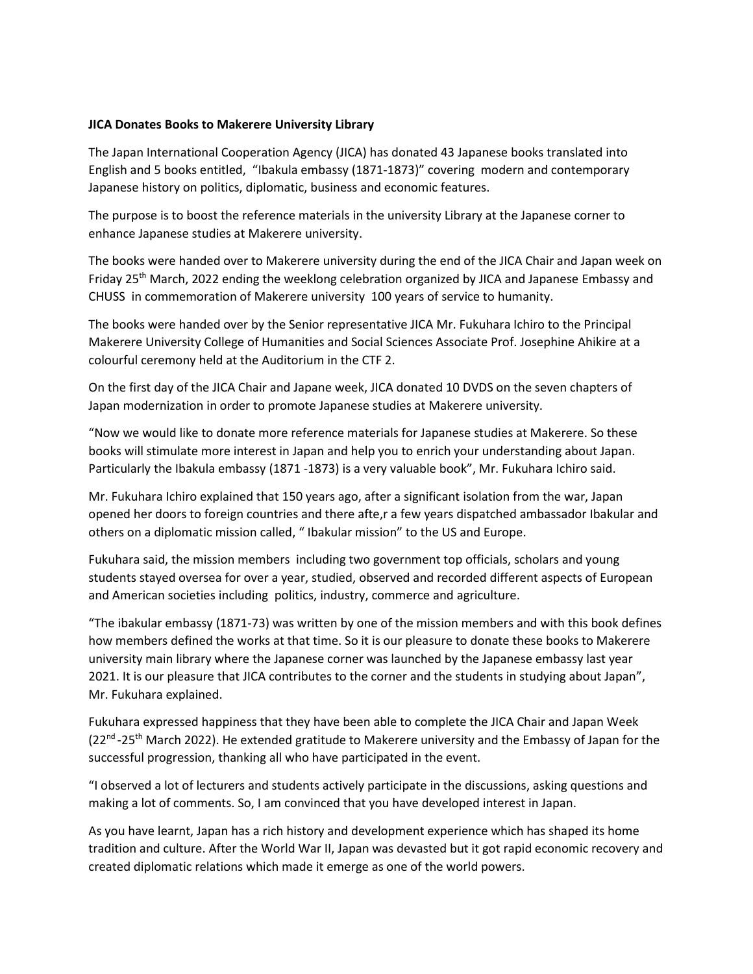## **JICA Donates Books to Makerere University Library**

The Japan International Cooperation Agency (JICA) has donated 43 Japanese books translated into English and 5 books entitled, "Ibakula embassy (1871-1873)" covering modern and contemporary Japanese history on politics, diplomatic, business and economic features.

The purpose is to boost the reference materials in the university Library at the Japanese corner to enhance Japanese studies at Makerere university.

The books were handed over to Makerere university during the end of the JICA Chair and Japan week on Friday 25th March, 2022 ending the weeklong celebration organized by JICA and Japanese Embassy and CHUSS in commemoration of Makerere university 100 years of service to humanity.

The books were handed over by the Senior representative JICA Mr. Fukuhara Ichiro to the Principal Makerere University College of Humanities and Social Sciences Associate Prof. Josephine Ahikire at a colourful ceremony held at the Auditorium in the CTF 2.

On the first day of the JICA Chair and Japane week, JICA donated 10 DVDS on the seven chapters of Japan modernization in order to promote Japanese studies at Makerere university.

"Now we would like to donate more reference materials for Japanese studies at Makerere. So these books will stimulate more interest in Japan and help you to enrich your understanding about Japan. Particularly the Ibakula embassy (1871 -1873) is a very valuable book", Mr. Fukuhara Ichiro said.

Mr. Fukuhara Ichiro explained that 150 years ago, after a significant isolation from the war, Japan opened her doors to foreign countries and there afte,r a few years dispatched ambassador Ibakular and others on a diplomatic mission called, " Ibakular mission" to the US and Europe.

Fukuhara said, the mission members including two government top officials, scholars and young students stayed oversea for over a year, studied, observed and recorded different aspects of European and American societies including politics, industry, commerce and agriculture.

"The ibakular embassy (1871-73) was written by one of the mission members and with this book defines how members defined the works at that time. So it is our pleasure to donate these books to Makerere university main library where the Japanese corner was launched by the Japanese embassy last year 2021. It is our pleasure that JICA contributes to the corner and the students in studying about Japan", Mr. Fukuhara explained.

Fukuhara expressed happiness that they have been able to complete the JICA Chair and Japan Week (22<sup>nd</sup>-25<sup>th</sup> March 2022). He extended gratitude to Makerere university and the Embassy of Japan for the successful progression, thanking all who have participated in the event.

"I observed a lot of lecturers and students actively participate in the discussions, asking questions and making a lot of comments. So, I am convinced that you have developed interest in Japan.

As you have learnt, Japan has a rich history and development experience which has shaped its home tradition and culture. After the World War II, Japan was devasted but it got rapid economic recovery and created diplomatic relations which made it emerge as one of the world powers.